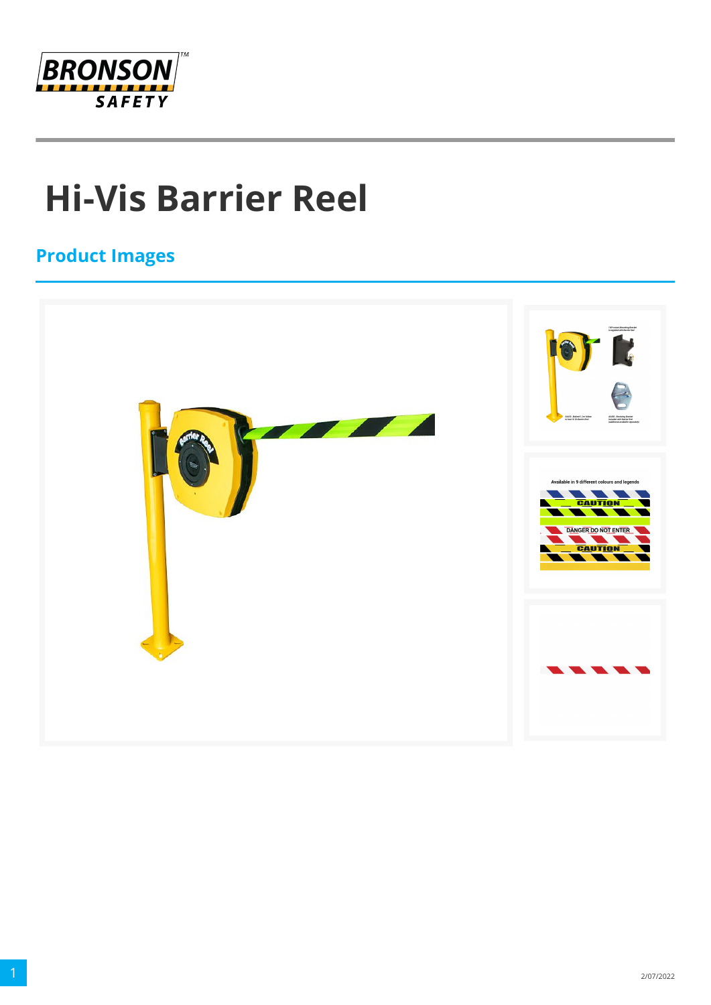

## **Hi-Vis Barrier Reel**

## **Product Images**

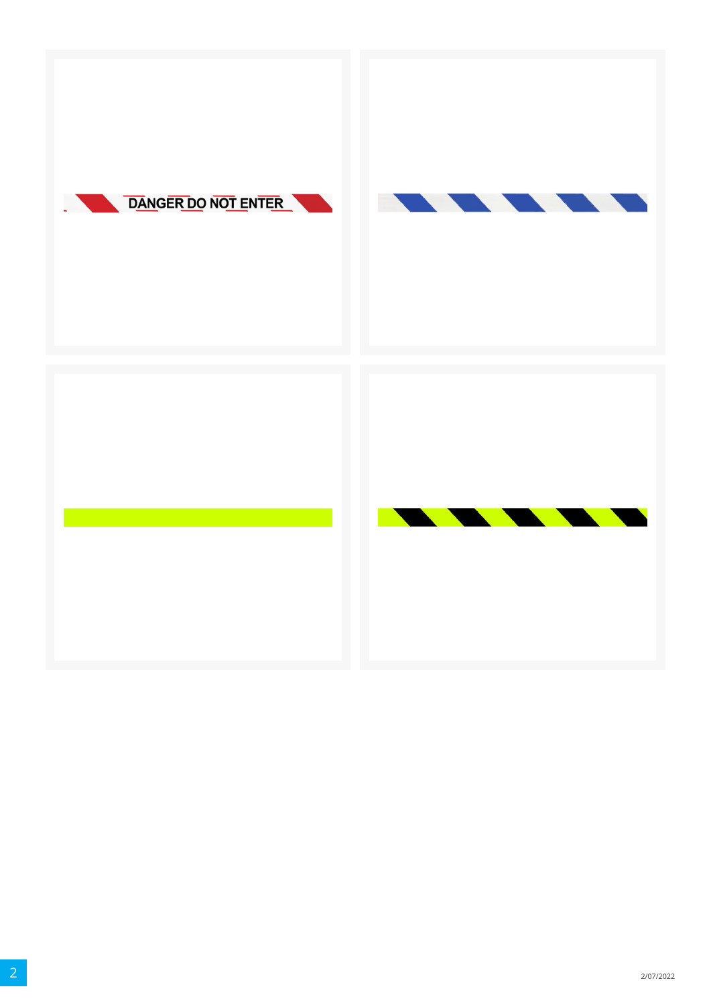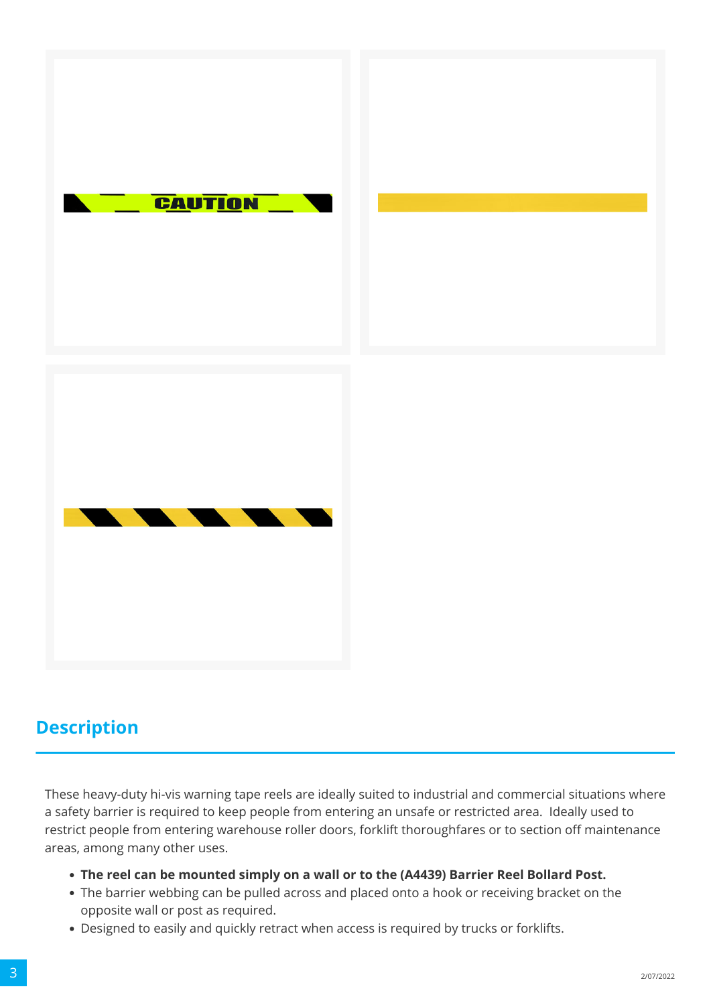



## **Description**

These heavy-duty hi-vis warning tape reels are ideally suited to industrial and commercial situations where a safety barrier is required to keep people from entering an unsafe or restricted area. Ideally used to restrict people from entering warehouse roller doors, forklift thoroughfares or to section off maintenance areas, among many other uses.

- **The reel can be mounted simply on a wall or to the (A4439) Barrier Reel Bollard Post.**
- The barrier webbing can be pulled across and placed onto a hook or receiving bracket on the opposite wall or post as required.
- Designed to easily and quickly retract when access is required by trucks or forklifts.